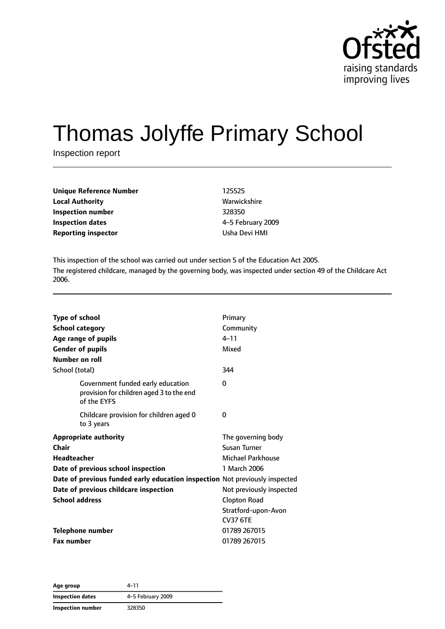

# Thomas Jolyffe Primary School

Inspection report

| <b>Unique Reference Number</b> | 125525  |
|--------------------------------|---------|
| <b>Local Authority</b>         | Warwic  |
| Inspection number              | 328350  |
| <b>Inspection dates</b>        | 4-5 Fel |
| <b>Reporting inspector</b>     | Usha D  |

**Local Authority** Warwickshire **Inspection number** 328350 **Inspection dates** 4–5 February 2009 **Usha Devi HMI** 

This inspection of the school was carried out under section 5 of the Education Act 2005. The registered childcare, managed by the governing body, was inspected under section 49 of the Childcare Act 2006.

| <b>Type of school</b><br><b>School category</b><br>Age range of pupils<br><b>Gender of pupils</b><br>Number on roll | Primary<br>Community<br>$4 - 11$<br>Mixed |
|---------------------------------------------------------------------------------------------------------------------|-------------------------------------------|
| School (total)                                                                                                      | 344                                       |
| Government funded early education<br>provision for children aged 3 to the end<br>of the EYFS                        | 0                                         |
| Childcare provision for children aged 0<br>to 3 years                                                               | 0                                         |
| <b>Appropriate authority</b>                                                                                        | The governing body                        |
| Chair                                                                                                               | Susan Turner                              |
| <b>Headteacher</b>                                                                                                  | Michael Parkhouse                         |
| Date of previous school inspection                                                                                  | 1 March 2006                              |
| Date of previous funded early education inspection Not previously inspected                                         |                                           |
| Date of previous childcare inspection                                                                               | Not previously inspected                  |
| <b>School address</b>                                                                                               | <b>Clopton Road</b>                       |
|                                                                                                                     | Stratford-upon-Avon                       |
|                                                                                                                     | <b>CV37 6TE</b>                           |
| <b>Telephone number</b>                                                                                             | 01789 267015                              |
| <b>Fax number</b>                                                                                                   | 01789 267015                              |

**Age group** 4–11 **Inspection dates** 4–5 February 2009 **Inspection number** 328350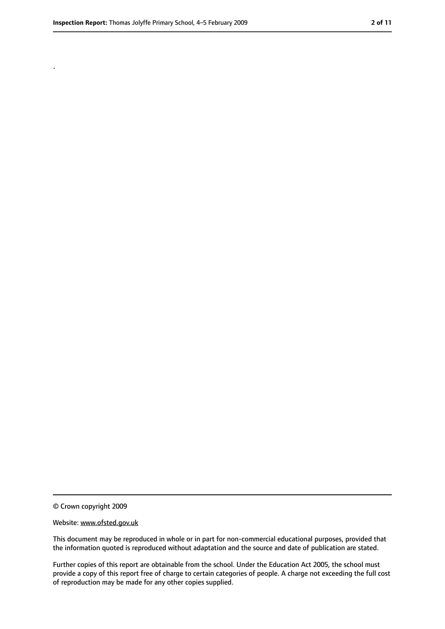.

<sup>©</sup> Crown copyright 2009

Website: www.ofsted.gov.uk

This document may be reproduced in whole or in part for non-commercial educational purposes, provided that the information quoted is reproduced without adaptation and the source and date of publication are stated.

Further copies of this report are obtainable from the school. Under the Education Act 2005, the school must provide a copy of this report free of charge to certain categories of people. A charge not exceeding the full cost of reproduction may be made for any other copies supplied.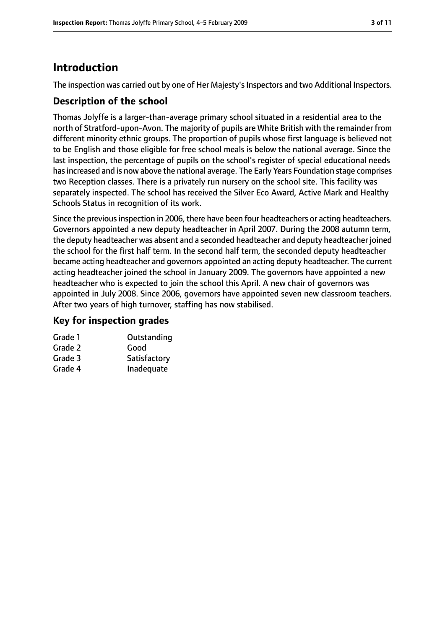# **Introduction**

The inspection was carried out by one of Her Majesty's Inspectors and two Additional Inspectors.

## **Description of the school**

Thomas Jolyffe is a larger-than-average primary school situated in a residential area to the north of Stratford-upon-Avon. The majority of pupils are White British with the remainder from different minority ethnic groups. The proportion of pupils whose first language is believed not to be English and those eligible for free school meals is below the national average. Since the last inspection, the percentage of pupils on the school's register of special educational needs hasincreased and is now above the national average. The Early Years Foundation stage comprises two Reception classes. There is a privately run nursery on the school site. This facility was separately inspected. The school has received the Silver Eco Award, Active Mark and Healthy Schools Status in recognition of its work.

Since the previous inspection in 2006, there have been four headteachers or acting headteachers. Governors appointed a new deputy headteacher in April 2007. During the 2008 autumn term, the deputy headteacher was absent and a seconded headteacher and deputy headteacher joined the school for the first half term. In the second half term, the seconded deputy headteacher became acting headteacher and governors appointed an acting deputy headteacher. The current acting headteacher joined the school in January 2009. The governors have appointed a new headteacher who is expected to join the school this April. A new chair of governors was appointed in July 2008. Since 2006, governors have appointed seven new classroom teachers. After two years of high turnover, staffing has now stabilised.

## **Key for inspection grades**

| Grade 1 | Outstanding  |
|---------|--------------|
| Grade 2 | Good         |
| Grade 3 | Satisfactory |
| Grade 4 | Inadequate   |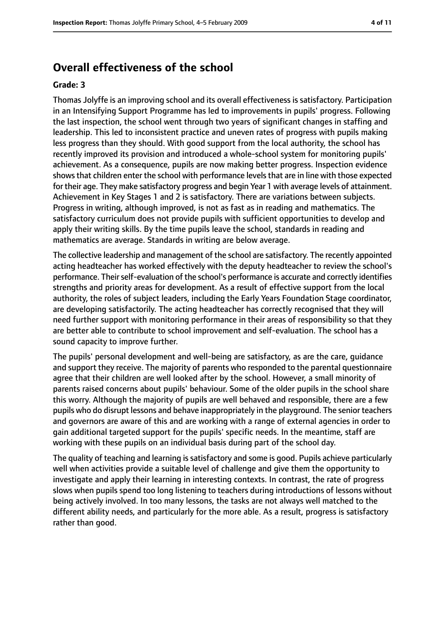## **Overall effectiveness of the school**

#### **Grade: 3**

Thomas Jolyffe is an improving school and its overall effectiveness is satisfactory. Participation in an Intensifying Support Programme has led to improvements in pupils' progress. Following the last inspection, the school went through two years of significant changes in staffing and leadership. This led to inconsistent practice and uneven rates of progress with pupils making less progress than they should. With good support from the local authority, the school has recently improved its provision and introduced a whole-school system for monitoring pupils' achievement. As a consequence, pupils are now making better progress. Inspection evidence shows that children enter the school with performance levels that are in line with those expected for their age. They make satisfactory progress and begin Year 1 with average levels of attainment. Achievement in Key Stages 1 and 2 is satisfactory. There are variations between subjects. Progress in writing, although improved, is not as fast as in reading and mathematics. The satisfactory curriculum does not provide pupils with sufficient opportunities to develop and apply their writing skills. By the time pupils leave the school, standards in reading and mathematics are average. Standards in writing are below average.

The collective leadership and management of the school are satisfactory. The recently appointed acting headteacher has worked effectively with the deputy headteacher to review the school's performance. Their self-evaluation of the school's performance is accurate and correctly identifies strengths and priority areas for development. As a result of effective support from the local authority, the roles of subject leaders, including the Early Years Foundation Stage coordinator, are developing satisfactorily. The acting headteacher has correctly recognised that they will need further support with monitoring performance in their areas of responsibility so that they are better able to contribute to school improvement and self-evaluation. The school has a sound capacity to improve further.

The pupils' personal development and well-being are satisfactory, as are the care, guidance and support they receive. The majority of parents who responded to the parental questionnaire agree that their children are well looked after by the school. However, a small minority of parents raised concerns about pupils' behaviour. Some of the older pupils in the school share this worry. Although the majority of pupils are well behaved and responsible, there are a few pupils who do disrupt lessons and behave inappropriately in the playground. The senior teachers and governors are aware of this and are working with a range of external agencies in order to gain additional targeted support for the pupils' specific needs. In the meantime, staff are working with these pupils on an individual basis during part of the school day.

The quality of teaching and learning is satisfactory and some is good. Pupils achieve particularly well when activities provide a suitable level of challenge and give them the opportunity to investigate and apply their learning in interesting contexts. In contrast, the rate of progress slows when pupils spend too long listening to teachers during introductions of lessons without being actively involved. In too many lessons, the tasks are not always well matched to the different ability needs, and particularly for the more able. As a result, progress is satisfactory rather than good.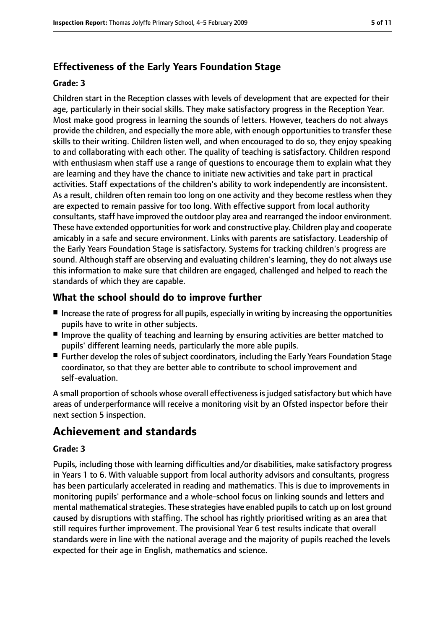# **Effectiveness of the Early Years Foundation Stage**

#### **Grade: 3**

Children start in the Reception classes with levels of development that are expected for their age, particularly in their social skills. They make satisfactory progress in the Reception Year. Most make good progress in learning the sounds of letters. However, teachers do not always provide the children, and especially the more able, with enough opportunities to transfer these skills to their writing. Children listen well, and when encouraged to do so, they enjoy speaking to and collaborating with each other. The quality of teaching is satisfactory. Children respond with enthusiasm when staff use a range of questions to encourage them to explain what they are learning and they have the chance to initiate new activities and take part in practical activities. Staff expectations of the children's ability to work independently are inconsistent. As a result, children often remain too long on one activity and they become restless when they are expected to remain passive for too long. With effective support from local authority consultants, staff have improved the outdoor play area and rearranged the indoor environment. These have extended opportunities for work and constructive play. Children play and cooperate amicably in a safe and secure environment. Links with parents are satisfactory. Leadership of the Early Years Foundation Stage is satisfactory. Systems for tracking children's progress are sound. Although staff are observing and evaluating children's learning, they do not always use this information to make sure that children are engaged, challenged and helped to reach the standards of which they are capable.

## **What the school should do to improve further**

- Increase the rate of progress for all pupils, especially in writing by increasing the opportunities pupils have to write in other subjects.
- Improve the quality of teaching and learning by ensuring activities are better matched to pupils' different learning needs, particularly the more able pupils.
- Further develop the roles of subject coordinators, including the Early Years Foundation Stage coordinator, so that they are better able to contribute to school improvement and self-evaluation.

A small proportion of schools whose overall effectiveness is judged satisfactory but which have areas of underperformance will receive a monitoring visit by an Ofsted inspector before their next section 5 inspection.

# **Achievement and standards**

#### **Grade: 3**

Pupils, including those with learning difficulties and/or disabilities, make satisfactory progress in Years 1 to 6. With valuable support from local authority advisors and consultants, progress has been particularly accelerated in reading and mathematics. This is due to improvements in monitoring pupils' performance and a whole-school focus on linking sounds and letters and mental mathematical strategies. These strategies have enabled pupils to catch up on lost ground caused by disruptions with staffing. The school has rightly prioritised writing as an area that still requires further improvement. The provisional Year 6 test results indicate that overall standards were in line with the national average and the majority of pupils reached the levels expected for their age in English, mathematics and science.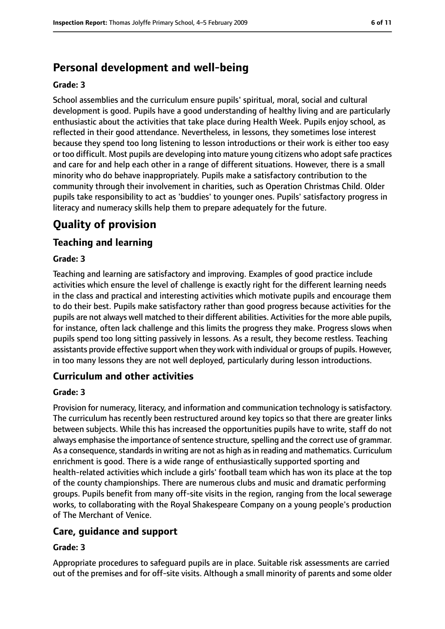# **Personal development and well-being**

#### **Grade: 3**

School assemblies and the curriculum ensure pupils' spiritual, moral, social and cultural development is good. Pupils have a good understanding of healthy living and are particularly enthusiastic about the activities that take place during Health Week. Pupils enjoy school, as reflected in their good attendance. Nevertheless, in lessons, they sometimes lose interest because they spend too long listening to lesson introductions or their work is either too easy or too difficult. Most pupils are developing into mature young citizens who adopt safe practices and care for and help each other in a range of different situations. However, there is a small minority who do behave inappropriately. Pupils make a satisfactory contribution to the community through their involvement in charities, such as Operation Christmas Child. Older pupils take responsibility to act as 'buddies' to younger ones. Pupils' satisfactory progress in literacy and numeracy skills help them to prepare adequately for the future.

# **Quality of provision**

## **Teaching and learning**

#### **Grade: 3**

Teaching and learning are satisfactory and improving. Examples of good practice include activities which ensure the level of challenge is exactly right for the different learning needs in the class and practical and interesting activities which motivate pupils and encourage them to do their best. Pupils make satisfactory rather than good progress because activities for the pupils are not always well matched to their different abilities. Activities for the more able pupils, for instance, often lack challenge and this limits the progress they make. Progress slows when pupils spend too long sitting passively in lessons. As a result, they become restless. Teaching assistants provide effective support when they work with individual or groups of pupils. However, in too many lessons they are not well deployed, particularly during lesson introductions.

#### **Curriculum and other activities**

#### **Grade: 3**

Provision for numeracy, literacy, and information and communication technology is satisfactory. The curriculum has recently been restructured around key topics so that there are greater links between subjects. While this has increased the opportunities pupils have to write, staff do not always emphasise the importance of sentence structure, spelling and the correct use of grammar. As a consequence, standards in writing are not as high as in reading and mathematics. Curriculum enrichment is good. There is a wide range of enthusiastically supported sporting and health-related activities which include a girls' football team which has won its place at the top of the county championships. There are numerous clubs and music and dramatic performing groups. Pupils benefit from many off-site visits in the region, ranging from the local sewerage works, to collaborating with the Royal Shakespeare Company on a young people's production of The Merchant of Venice.

#### **Care, guidance and support**

#### **Grade: 3**

Appropriate procedures to safeguard pupils are in place. Suitable risk assessments are carried out of the premises and for off-site visits. Although a small minority of parents and some older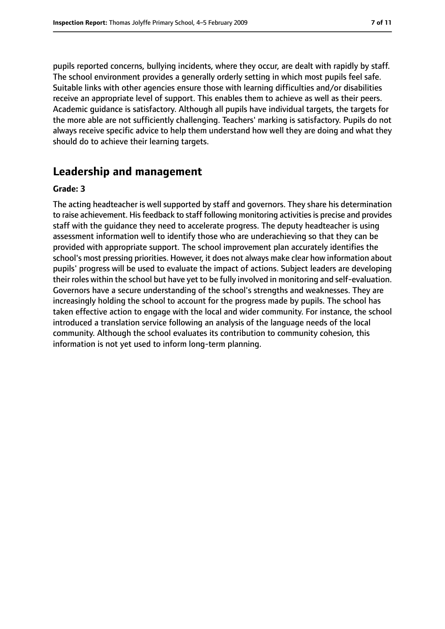pupils reported concerns, bullying incidents, where they occur, are dealt with rapidly by staff. The school environment provides a generally orderly setting in which most pupils feel safe. Suitable links with other agencies ensure those with learning difficulties and/or disabilities receive an appropriate level of support. This enables them to achieve as well as their peers. Academic guidance is satisfactory. Although all pupils have individual targets, the targets for the more able are not sufficiently challenging. Teachers' marking is satisfactory. Pupils do not always receive specific advice to help them understand how well they are doing and what they should do to achieve their learning targets.

# **Leadership and management**

#### **Grade: 3**

The acting headteacher is well supported by staff and governors. They share his determination to raise achievement. His feedback to staff following monitoring activities is precise and provides staff with the guidance they need to accelerate progress. The deputy headteacher is using assessment information well to identify those who are underachieving so that they can be provided with appropriate support. The school improvement plan accurately identifies the school's most pressing priorities. However, it does not always make clear how information about pupils' progress will be used to evaluate the impact of actions. Subject leaders are developing their roles within the school but have yet to be fully involved in monitoring and self-evaluation. Governors have a secure understanding of the school's strengths and weaknesses. They are increasingly holding the school to account for the progress made by pupils. The school has taken effective action to engage with the local and wider community. For instance, the school introduced a translation service following an analysis of the language needs of the local community. Although the school evaluates its contribution to community cohesion, this information is not yet used to inform long-term planning.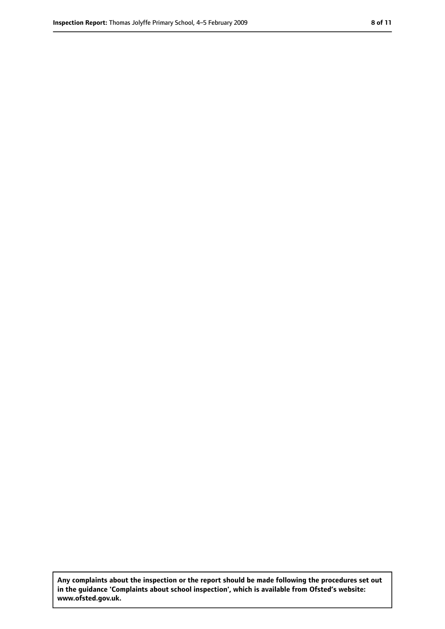**Any complaints about the inspection or the report should be made following the procedures set out in the guidance 'Complaints about school inspection', which is available from Ofsted's website: www.ofsted.gov.uk.**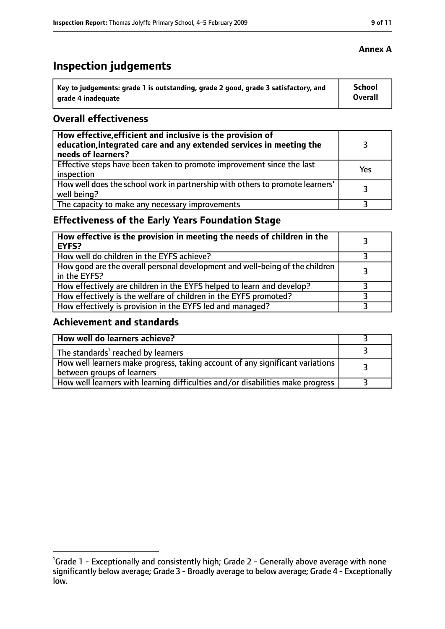# **Inspection judgements**

| Key to judgements: grade 1 is outstanding, grade 2 good, grade 3 satisfactory, and | School  |
|------------------------------------------------------------------------------------|---------|
| arade 4 inadequate                                                                 | Overall |

### **Overall effectiveness**

| How effective, efficient and inclusive is the provision of<br>education, integrated care and any extended services in meeting the<br>needs of learners? |     |
|---------------------------------------------------------------------------------------------------------------------------------------------------------|-----|
| Effective steps have been taken to promote improvement since the last<br>inspection                                                                     | Yes |
| How well does the school work in partnership with others to promote learners'<br>well being?                                                            | २   |
| The capacity to make any necessary improvements                                                                                                         |     |

# **Effectiveness of the Early Years Foundation Stage**

| How effective is the provision in meeting the needs of children in the<br>EYFS?              |  |
|----------------------------------------------------------------------------------------------|--|
| How well do children in the EYFS achieve?                                                    |  |
| How good are the overall personal development and well-being of the children<br>in the EYFS? |  |
| How effectively are children in the EYFS helped to learn and develop?                        |  |
| How effectively is the welfare of children in the EYFS promoted?                             |  |
| How effectively is provision in the EYFS led and managed?                                    |  |

## **Achievement and standards**

| How well do learners achieve?                                                                               |  |
|-------------------------------------------------------------------------------------------------------------|--|
| The standards <sup>1</sup> reached by learners                                                              |  |
| How well learners make progress, taking account of any significant variations<br>between groups of learners |  |
| How well learners with learning difficulties and/or disabilities make progress                              |  |

#### **Annex A**

<sup>&</sup>lt;sup>1</sup>Grade 1 - Exceptionally and consistently high; Grade 2 - Generally above average with none significantly below average; Grade 3 - Broadly average to below average; Grade 4 - Exceptionally low.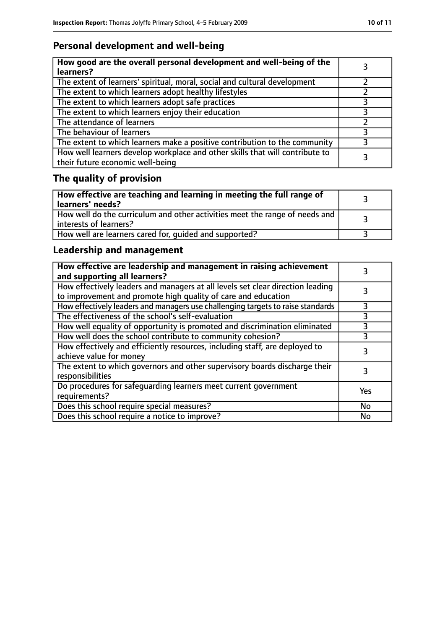# **Personal development and well-being**

| How good are the overall personal development and well-being of the<br>learners?                                 |  |
|------------------------------------------------------------------------------------------------------------------|--|
| The extent of learners' spiritual, moral, social and cultural development                                        |  |
| The extent to which learners adopt healthy lifestyles                                                            |  |
| The extent to which learners adopt safe practices                                                                |  |
| The extent to which learners enjoy their education                                                               |  |
| The attendance of learners                                                                                       |  |
| The behaviour of learners                                                                                        |  |
| The extent to which learners make a positive contribution to the community                                       |  |
| How well learners develop workplace and other skills that will contribute to<br>their future economic well-being |  |

# **The quality of provision**

| How effective are teaching and learning in meeting the full range of<br>learners' needs?                |  |
|---------------------------------------------------------------------------------------------------------|--|
| How well do the curriculum and other activities meet the range of needs and<br>  interests of learners? |  |
| How well are learners cared for, quided and supported?                                                  |  |

# **Leadership and management**

| How effective are leadership and management in raising achievement<br>and supporting all learners?                                              |     |
|-------------------------------------------------------------------------------------------------------------------------------------------------|-----|
| How effectively leaders and managers at all levels set clear direction leading<br>to improvement and promote high quality of care and education |     |
| How effectively leaders and managers use challenging targets to raise standards                                                                 |     |
| The effectiveness of the school's self-evaluation                                                                                               | 3   |
| How well equality of opportunity is promoted and discrimination eliminated                                                                      | 3   |
| How well does the school contribute to community cohesion?                                                                                      | 3   |
| How effectively and efficiently resources, including staff, are deployed to<br>achieve value for money                                          | 3   |
| The extent to which governors and other supervisory boards discharge their<br>responsibilities                                                  |     |
| Do procedures for safequarding learners meet current government<br>requirements?                                                                | Yes |
| Does this school require special measures?                                                                                                      | No  |
| Does this school require a notice to improve?                                                                                                   | No  |